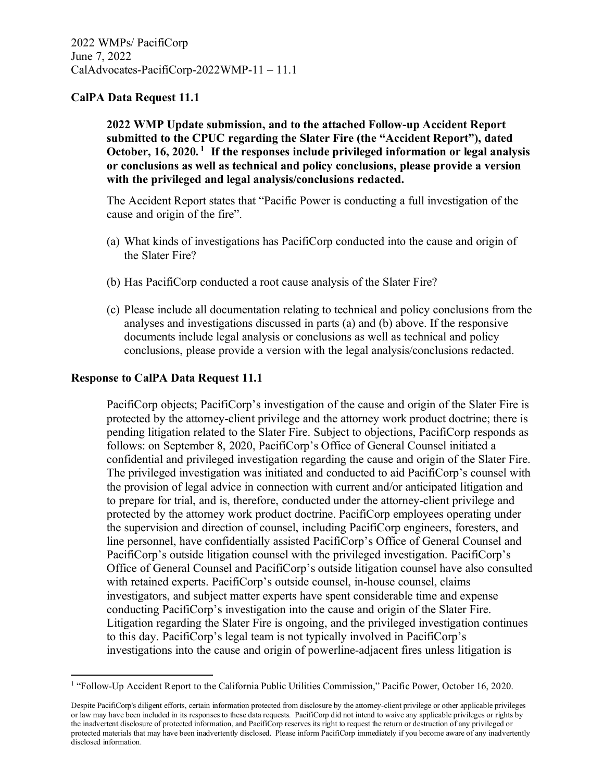**2022 WMP Update submission, and to the attached Follow-up Accident Report submitted to the CPUC regarding the Slater Fire (the "Accident Report"), dated October, 16, 2020. <sup>1</sup> If the responses include privileged information or legal analysis or conclusions as well as technical and policy conclusions, please provide a version with the privileged and legal analysis/conclusions redacted.**

The Accident Report states that "Pacific Power is conducting a full investigation of the cause and origin of the fire".

- (a) What kinds of investigations has PacifiCorp conducted into the cause and origin of the Slater Fire?
- (b) Has PacifiCorp conducted a root cause analysis of the Slater Fire?
- (c) Please include all documentation relating to technical and policy conclusions from the analyses and investigations discussed in parts (a) and (b) above. If the responsive documents include legal analysis or conclusions as well as technical and policy conclusions, please provide a version with the legal analysis/conclusions redacted.

### **Response to CalPA Data Request 11.1**

PacifiCorp objects; PacifiCorp's investigation of the cause and origin of the Slater Fire is protected by the attorney-client privilege and the attorney work product doctrine; there is pending litigation related to the Slater Fire. Subject to objections, PacifiCorp responds as follows: on September 8, 2020, PacifiCorp's Office of General Counsel initiated a confidential and privileged investigation regarding the cause and origin of the Slater Fire. The privileged investigation was initiated and conducted to aid PacifiCorp's counsel with the provision of legal advice in connection with current and/or anticipated litigation and to prepare for trial, and is, therefore, conducted under the attorney-client privilege and protected by the attorney work product doctrine. PacifiCorp employees operating under the supervision and direction of counsel, including PacifiCorp engineers, foresters, and line personnel, have confidentially assisted PacifiCorp's Office of General Counsel and PacifiCorp's outside litigation counsel with the privileged investigation. PacifiCorp's Office of General Counsel and PacifiCorp's outside litigation counsel have also consulted with retained experts. PacifiCorp's outside counsel, in-house counsel, claims investigators, and subject matter experts have spent considerable time and expense conducting PacifiCorp's investigation into the cause and origin of the Slater Fire. Litigation regarding the Slater Fire is ongoing, and the privileged investigation continues to this day. PacifiCorp's legal team is not typically involved in PacifiCorp's investigations into the cause and origin of powerline-adjacent fires unless litigation is

<sup>&</sup>lt;sup>1</sup> "Follow-Up Accident Report to the California Public Utilities Commission," Pacific Power, October 16, 2020.

Despite PacifiCorp's diligent efforts, certain information protected from disclosure by the attorney-client privilege or other applicable privileges or law may have been included in its responses to these data requests. PacifiCorp did not intend to waive any applicable privileges or rights by the inadvertent disclosure of protected information, and PacifiCorp reserves its right to request the return or destruction of any privileged or protected materials that may have been inadvertently disclosed. Please inform PacifiCorp immediately if you become aware of any inadvertently disclosed information.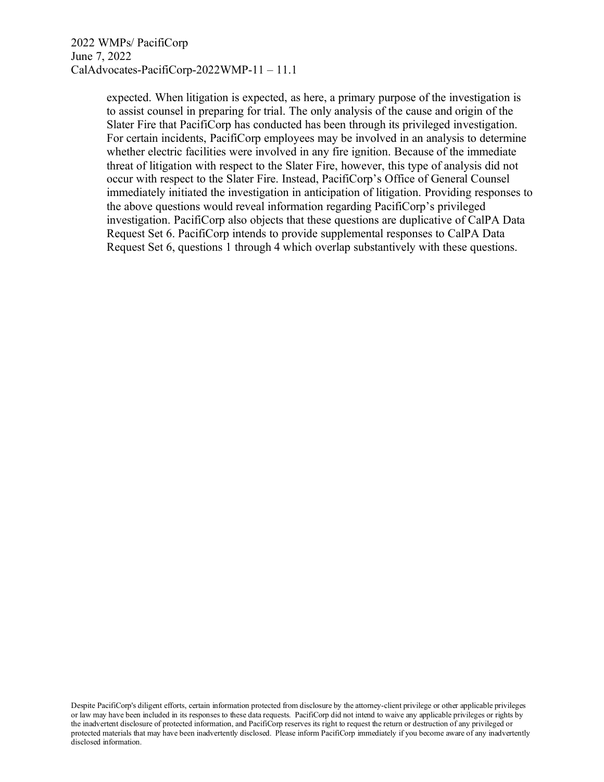expected. When litigation is expected, as here, a primary purpose of the investigation is to assist counsel in preparing for trial. The only analysis of the cause and origin of the Slater Fire that PacifiCorp has conducted has been through its privileged investigation. For certain incidents, PacifiCorp employees may be involved in an analysis to determine whether electric facilities were involved in any fire ignition. Because of the immediate threat of litigation with respect to the Slater Fire, however, this type of analysis did not occur with respect to the Slater Fire. Instead, PacifiCorp's Office of General Counsel immediately initiated the investigation in anticipation of litigation. Providing responses to the above questions would reveal information regarding PacifiCorp's privileged investigation. PacifiCorp also objects that these questions are duplicative of CalPA Data Request Set 6. PacifiCorp intends to provide supplemental responses to CalPA Data Request Set 6, questions 1 through 4 which overlap substantively with these questions.

Despite PacifiCorp's diligent efforts, certain information protected from disclosure by the attorney-client privilege or other applicable privileges or law may have been included in its responses to these data requests. PacifiCorp did not intend to waive any applicable privileges or rights by the inadvertent disclosure of protected information, and PacifiCorp reserves its right to request the return or destruction of any privileged or protected materials that may have been inadvertently disclosed. Please inform PacifiCorp immediately if you become aware of any inadvertently disclosed information.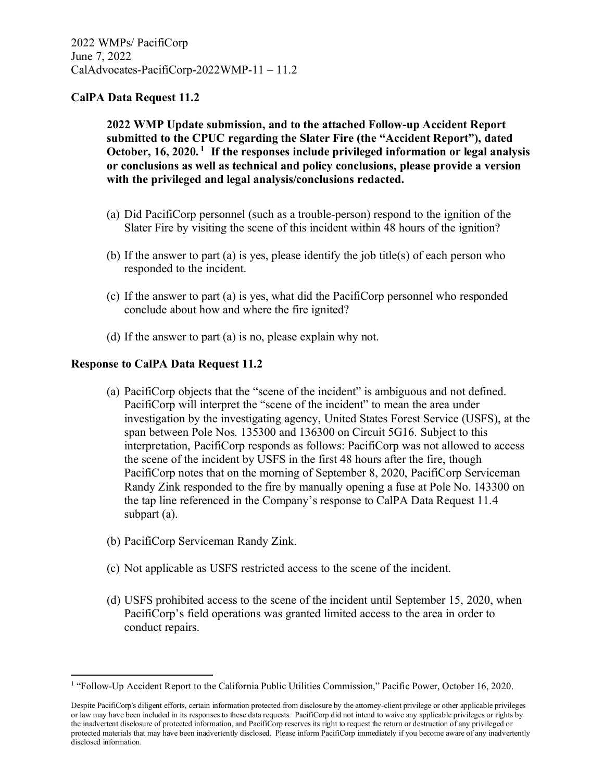**2022 WMP Update submission, and to the attached Follow-up Accident Report submitted to the CPUC regarding the Slater Fire (the "Accident Report"), dated October, 16, 2020. <sup>1</sup> If the responses include privileged information or legal analysis or conclusions as well as technical and policy conclusions, please provide a version with the privileged and legal analysis/conclusions redacted.**

- (a) Did PacifiCorp personnel (such as a trouble-person) respond to the ignition of the Slater Fire by visiting the scene of this incident within 48 hours of the ignition?
- (b) If the answer to part (a) is yes, please identify the job title(s) of each person who responded to the incident.
- (c) If the answer to part (a) is yes, what did the PacifiCorp personnel who responded conclude about how and where the fire ignited?
- (d) If the answer to part (a) is no, please explain why not.

### **Response to CalPA Data Request 11.2**

- (a) PacifiCorp objects that the "scene of the incident" is ambiguous and not defined. PacifiCorp will interpret the "scene of the incident" to mean the area under investigation by the investigating agency, United States Forest Service (USFS), at the span between Pole Nos. 135300 and 136300 on Circuit 5G16. Subject to this interpretation, PacifiCorp responds as follows: PacifiCorp was not allowed to access the scene of the incident by USFS in the first 48 hours after the fire, though PacifiCorp notes that on the morning of September 8, 2020, PacifiCorp Serviceman Randy Zink responded to the fire by manually opening a fuse at Pole No. 143300 on the tap line referenced in the Company's response to CalPA Data Request 11.4 subpart (a).
- (b) PacifiCorp Serviceman Randy Zink.
- (c) Not applicable as USFS restricted access to the scene of the incident.
- (d) USFS prohibited access to the scene of the incident until September 15, 2020, when PacifiCorp's field operations was granted limited access to the area in order to conduct repairs.

<sup>&</sup>lt;sup>1</sup> "Follow-Up Accident Report to the California Public Utilities Commission," Pacific Power, October 16, 2020.

Despite PacifiCorp's diligent efforts, certain information protected from disclosure by the attorney-client privilege or other applicable privileges or law may have been included in its responses to these data requests. PacifiCorp did not intend to waive any applicable privileges or rights by the inadvertent disclosure of protected information, and PacifiCorp reserves its right to request the return or destruction of any privileged or protected materials that may have been inadvertently disclosed. Please inform PacifiCorp immediately if you become aware of any inadvertently disclosed information.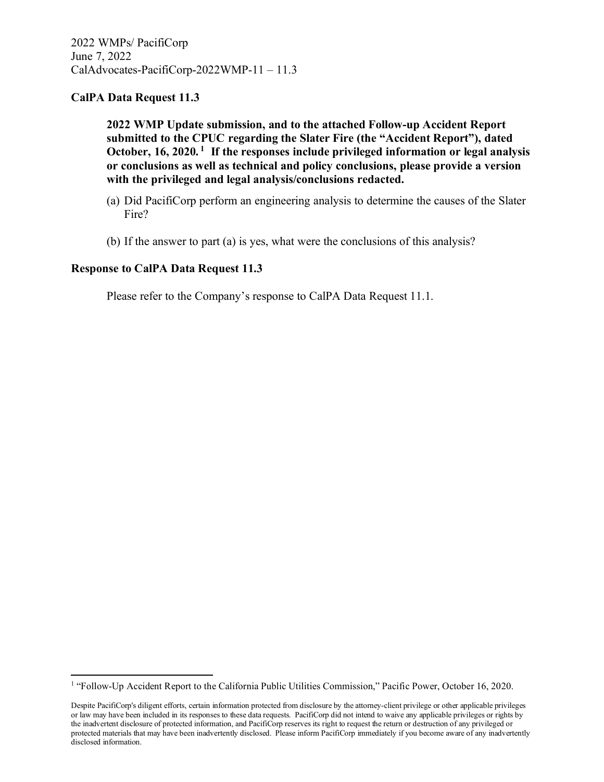**2022 WMP Update submission, and to the attached Follow-up Accident Report submitted to the CPUC regarding the Slater Fire (the "Accident Report"), dated October, 16, 2020. <sup>1</sup> If the responses include privileged information or legal analysis or conclusions as well as technical and policy conclusions, please provide a version with the privileged and legal analysis/conclusions redacted.**

- (a) Did PacifiCorp perform an engineering analysis to determine the causes of the Slater Fire?
- (b) If the answer to part (a) is yes, what were the conclusions of this analysis?

### **Response to CalPA Data Request 11.3**

<sup>&</sup>lt;sup>1</sup> "Follow-Up Accident Report to the California Public Utilities Commission," Pacific Power, October 16, 2020.

Despite PacifiCorp's diligent efforts, certain information protected from disclosure by the attorney-client privilege or other applicable privileges or law may have been included in its responses to these data requests. PacifiCorp did not intend to waive any applicable privileges or rights by the inadvertent disclosure of protected information, and PacifiCorp reserves its right to request the return or destruction of any privileged or protected materials that may have been inadvertently disclosed. Please inform PacifiCorp immediately if you become aware of any inadvertently disclosed information.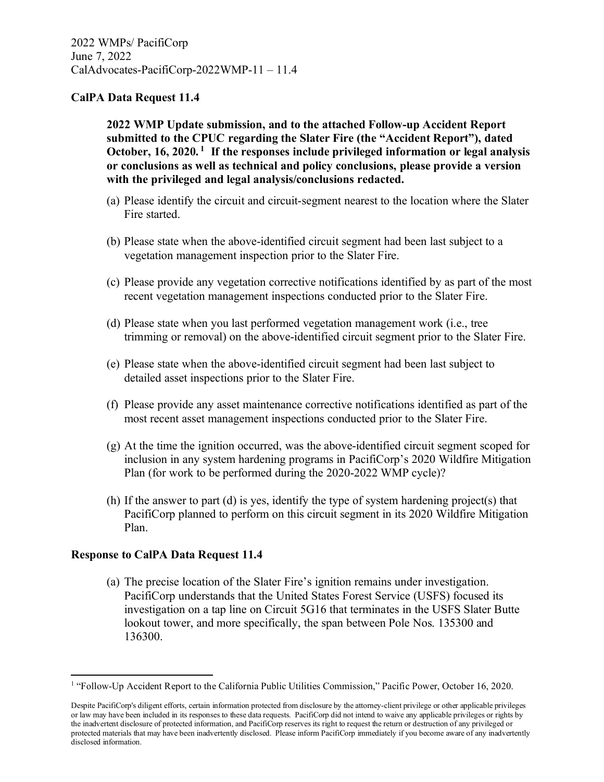**2022 WMP Update submission, and to the attached Follow-up Accident Report submitted to the CPUC regarding the Slater Fire (the "Accident Report"), dated October, 16, 2020. <sup>1</sup> If the responses include privileged information or legal analysis or conclusions as well as technical and policy conclusions, please provide a version with the privileged and legal analysis/conclusions redacted.**

- (a) Please identify the circuit and circuit-segment nearest to the location where the Slater Fire started.
- (b) Please state when the above-identified circuit segment had been last subject to a vegetation management inspection prior to the Slater Fire.
- (c) Please provide any vegetation corrective notifications identified by as part of the most recent vegetation management inspections conducted prior to the Slater Fire.
- (d) Please state when you last performed vegetation management work (i.e., tree trimming or removal) on the above-identified circuit segment prior to the Slater Fire.
- (e) Please state when the above-identified circuit segment had been last subject to detailed asset inspections prior to the Slater Fire.
- (f) Please provide any asset maintenance corrective notifications identified as part of the most recent asset management inspections conducted prior to the Slater Fire.
- (g) At the time the ignition occurred, was the above-identified circuit segment scoped for inclusion in any system hardening programs in PacifiCorp's 2020 Wildfire Mitigation Plan (for work to be performed during the 2020-2022 WMP cycle)?
- (h) If the answer to part (d) is yes, identify the type of system hardening project(s) that PacifiCorp planned to perform on this circuit segment in its 2020 Wildfire Mitigation Plan.

### **Response to CalPA Data Request 11.4**

(a) The precise location of the Slater Fire's ignition remains under investigation. PacifiCorp understands that the United States Forest Service (USFS) focused its investigation on a tap line on Circuit 5G16 that terminates in the USFS Slater Butte lookout tower, and more specifically, the span between Pole Nos. 135300 and 136300.

<sup>&</sup>lt;sup>1</sup> "Follow-Up Accident Report to the California Public Utilities Commission," Pacific Power, October 16, 2020.

Despite PacifiCorp's diligent efforts, certain information protected from disclosure by the attorney-client privilege or other applicable privileges or law may have been included in its responses to these data requests. PacifiCorp did not intend to waive any applicable privileges or rights by the inadvertent disclosure of protected information, and PacifiCorp reserves its right to request the return or destruction of any privileged or protected materials that may have been inadvertently disclosed. Please inform PacifiCorp immediately if you become aware of any inadvertently disclosed information.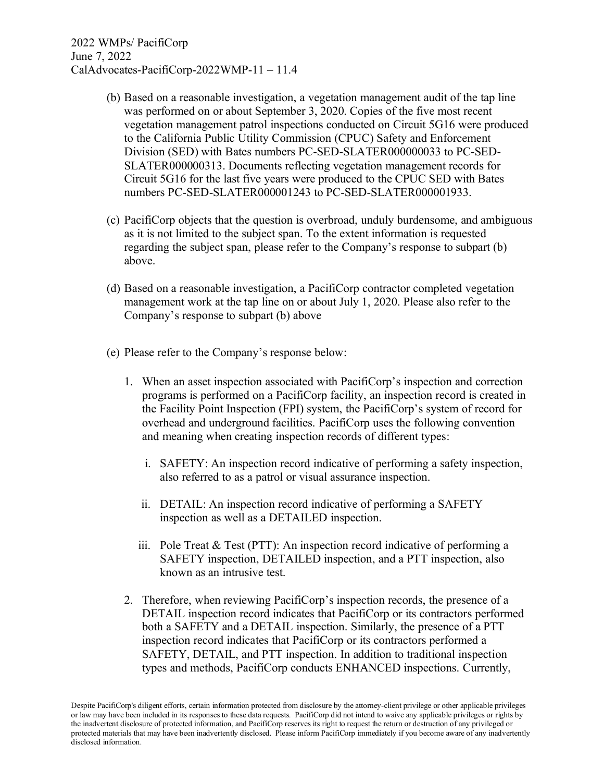- (b) Based on a reasonable investigation, a vegetation management audit of the tap line was performed on or about September 3, 2020. Copies of the five most recent vegetation management patrol inspections conducted on Circuit 5G16 were produced to the California Public Utility Commission (CPUC) Safety and Enforcement Division (SED) with Bates numbers PC-SED-SLATER000000033 to PC-SED-SLATER000000313. Documents reflecting vegetation management records for Circuit 5G16 for the last five years were produced to the CPUC SED with Bates numbers PC-SED-SLATER000001243 to PC-SED-SLATER000001933.
- (c) PacifiCorp objects that the question is overbroad, unduly burdensome, and ambiguous as it is not limited to the subject span. To the extent information is requested regarding the subject span, please refer to the Company's response to subpart (b) above.
- (d) Based on a reasonable investigation, a PacifiCorp contractor completed vegetation management work at the tap line on or about July 1, 2020. Please also refer to the Company's response to subpart (b) above
- (e) Please refer to the Company's response below:
	- 1. When an asset inspection associated with PacifiCorp's inspection and correction programs is performed on a PacifiCorp facility, an inspection record is created in the Facility Point Inspection (FPI) system, the PacifiCorp's system of record for overhead and underground facilities. PacifiCorp uses the following convention and meaning when creating inspection records of different types:
		- i. SAFETY: An inspection record indicative of performing a safety inspection, also referred to as a patrol or visual assurance inspection.
		- ii. DETAIL: An inspection record indicative of performing a SAFETY inspection as well as a DETAILED inspection.
		- iii. Pole Treat & Test (PTT): An inspection record indicative of performing a SAFETY inspection, DETAILED inspection, and a PTT inspection, also known as an intrusive test.
	- 2. Therefore, when reviewing PacifiCorp's inspection records, the presence of a DETAIL inspection record indicates that PacifiCorp or its contractors performed both a SAFETY and a DETAIL inspection. Similarly, the presence of a PTT inspection record indicates that PacifiCorp or its contractors performed a SAFETY, DETAIL, and PTT inspection. In addition to traditional inspection types and methods, PacifiCorp conducts ENHANCED inspections. Currently,

Despite PacifiCorp's diligent efforts, certain information protected from disclosure by the attorney-client privilege or other applicable privileges or law may have been included in its responses to these data requests. PacifiCorp did not intend to waive any applicable privileges or rights by the inadvertent disclosure of protected information, and PacifiCorp reserves its right to request the return or destruction of any privileged or protected materials that may have been inadvertently disclosed. Please inform PacifiCorp immediately if you become aware of any inadvertently disclosed information.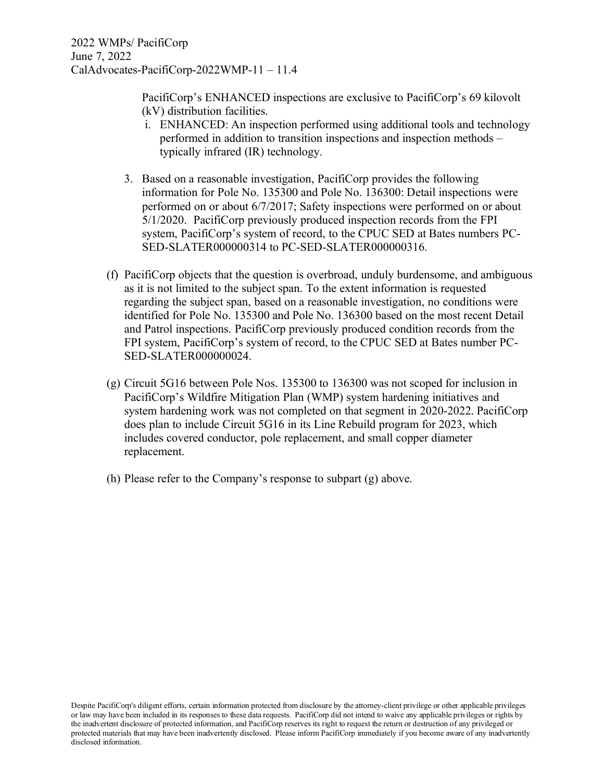PacifiCorp's ENHANCED inspections are exclusive to PacifiCorp's 69 kilovolt (kV) distribution facilities.

- i. ENHANCED: An inspection performed using additional tools and technology performed in addition to transition inspections and inspection methods – typically infrared (IR) technology.
- 3. Based on a reasonable investigation, PacifiCorp provides the following information for Pole No. 135300 and Pole No. 136300: Detail inspections were performed on or about 6/7/2017; Safety inspections were performed on or about 5/1/2020. PacifiCorp previously produced inspection records from the FPI system, PacifiCorp's system of record, to the CPUC SED at Bates numbers PC-SED-SLATER000000314 to PC-SED-SLATER000000316.
- (f) PacifiCorp objects that the question is overbroad, unduly burdensome, and ambiguous as it is not limited to the subject span. To the extent information is requested regarding the subject span, based on a reasonable investigation, no conditions were identified for Pole No. 135300 and Pole No. 136300 based on the most recent Detail and Patrol inspections. PacifiCorp previously produced condition records from the FPI system, PacifiCorp's system of record, to the CPUC SED at Bates number PC-SED-SLATER000000024.
- (g) Circuit 5G16 between Pole Nos. 135300 to 136300 was not scoped for inclusion in PacifiCorp's Wildfire Mitigation Plan (WMP) system hardening initiatives and system hardening work was not completed on that segment in 2020-2022. PacifiCorp does plan to include Circuit 5G16 in its Line Rebuild program for 2023, which includes covered conductor, pole replacement, and small copper diameter replacement.
- (h) Please refer to the Company's response to subpart (g) above.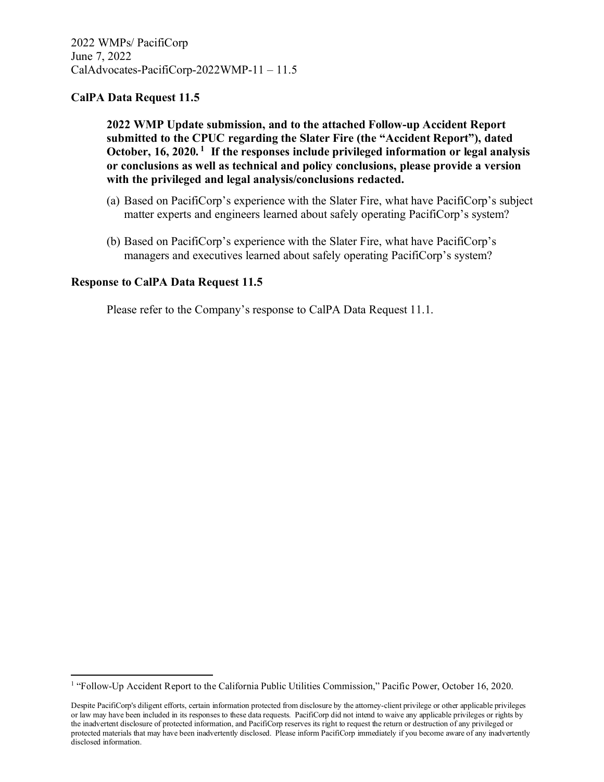**2022 WMP Update submission, and to the attached Follow-up Accident Report submitted to the CPUC regarding the Slater Fire (the "Accident Report"), dated October, 16, 2020. <sup>1</sup> If the responses include privileged information or legal analysis or conclusions as well as technical and policy conclusions, please provide a version with the privileged and legal analysis/conclusions redacted.**

- (a) Based on PacifiCorp's experience with the Slater Fire, what have PacifiCorp's subject matter experts and engineers learned about safely operating PacifiCorp's system?
- (b) Based on PacifiCorp's experience with the Slater Fire, what have PacifiCorp's managers and executives learned about safely operating PacifiCorp's system?

### **Response to CalPA Data Request 11.5**

<sup>&</sup>lt;sup>1</sup> "Follow-Up Accident Report to the California Public Utilities Commission," Pacific Power, October 16, 2020.

Despite PacifiCorp's diligent efforts, certain information protected from disclosure by the attorney-client privilege or other applicable privileges or law may have been included in its responses to these data requests. PacifiCorp did not intend to waive any applicable privileges or rights by the inadvertent disclosure of protected information, and PacifiCorp reserves its right to request the return or destruction of any privileged or protected materials that may have been inadvertently disclosed. Please inform PacifiCorp immediately if you become aware of any inadvertently disclosed information.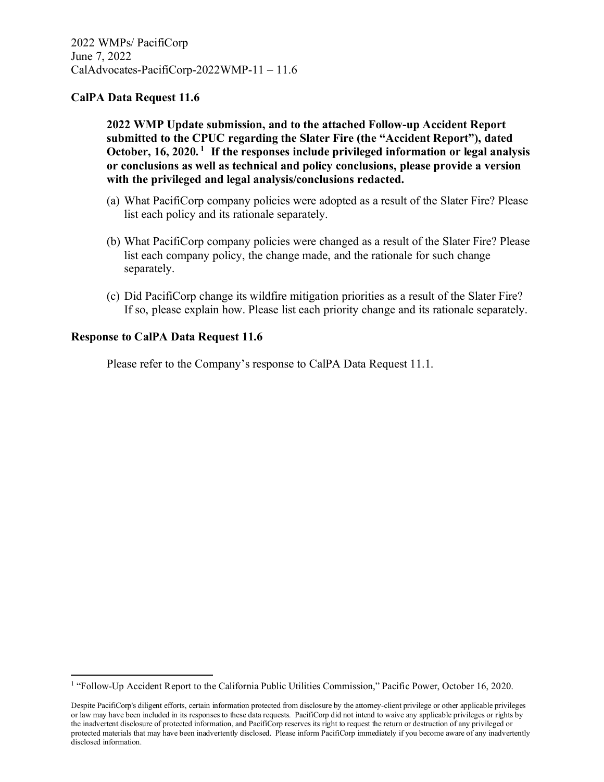**2022 WMP Update submission, and to the attached Follow-up Accident Report submitted to the CPUC regarding the Slater Fire (the "Accident Report"), dated October, 16, 2020. <sup>1</sup> If the responses include privileged information or legal analysis or conclusions as well as technical and policy conclusions, please provide a version with the privileged and legal analysis/conclusions redacted.**

- (a) What PacifiCorp company policies were adopted as a result of the Slater Fire? Please list each policy and its rationale separately.
- (b) What PacifiCorp company policies were changed as a result of the Slater Fire? Please list each company policy, the change made, and the rationale for such change separately.
- (c) Did PacifiCorp change its wildfire mitigation priorities as a result of the Slater Fire? If so, please explain how. Please list each priority change and its rationale separately.

### **Response to CalPA Data Request 11.6**

<sup>&</sup>lt;sup>1</sup> "Follow-Up Accident Report to the California Public Utilities Commission," Pacific Power, October 16, 2020.

Despite PacifiCorp's diligent efforts, certain information protected from disclosure by the attorney-client privilege or other applicable privileges or law may have been included in its responses to these data requests. PacifiCorp did not intend to waive any applicable privileges or rights by the inadvertent disclosure of protected information, and PacifiCorp reserves its right to request the return or destruction of any privileged or protected materials that may have been inadvertently disclosed. Please inform PacifiCorp immediately if you become aware of any inadvertently disclosed information.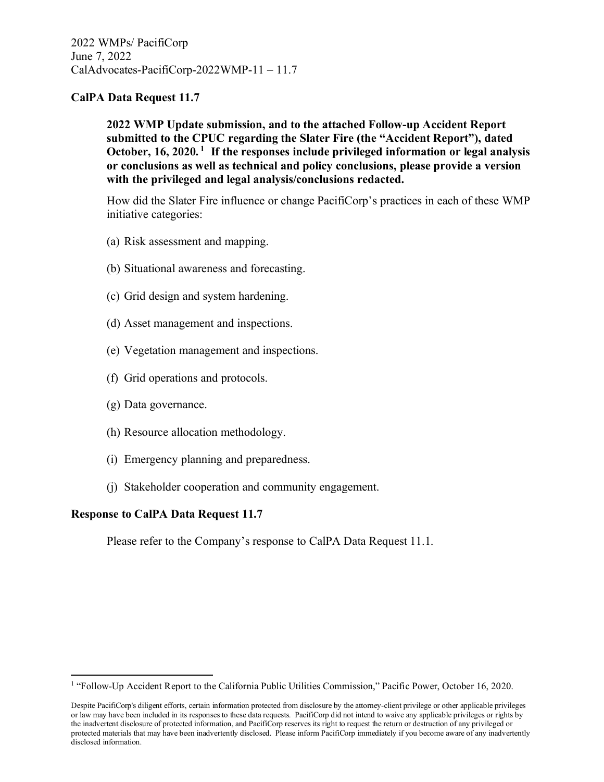**2022 WMP Update submission, and to the attached Follow-up Accident Report submitted to the CPUC regarding the Slater Fire (the "Accident Report"), dated October, 16, 2020. <sup>1</sup> If the responses include privileged information or legal analysis or conclusions as well as technical and policy conclusions, please provide a version with the privileged and legal analysis/conclusions redacted.**

How did the Slater Fire influence or change PacifiCorp's practices in each of these WMP initiative categories:

- (a) Risk assessment and mapping.
- (b) Situational awareness and forecasting.
- (c) Grid design and system hardening.
- (d) Asset management and inspections.
- (e) Vegetation management and inspections.
- (f) Grid operations and protocols.
- (g) Data governance.
- (h) Resource allocation methodology.
- (i) Emergency planning and preparedness.
- (j) Stakeholder cooperation and community engagement.

### **Response to CalPA Data Request 11.7**

<sup>&</sup>lt;sup>1</sup> "Follow-Up Accident Report to the California Public Utilities Commission," Pacific Power, October 16, 2020.

Despite PacifiCorp's diligent efforts, certain information protected from disclosure by the attorney-client privilege or other applicable privileges or law may have been included in its responses to these data requests. PacifiCorp did not intend to waive any applicable privileges or rights by the inadvertent disclosure of protected information, and PacifiCorp reserves its right to request the return or destruction of any privileged or protected materials that may have been inadvertently disclosed. Please inform PacifiCorp immediately if you become aware of any inadvertently disclosed information.